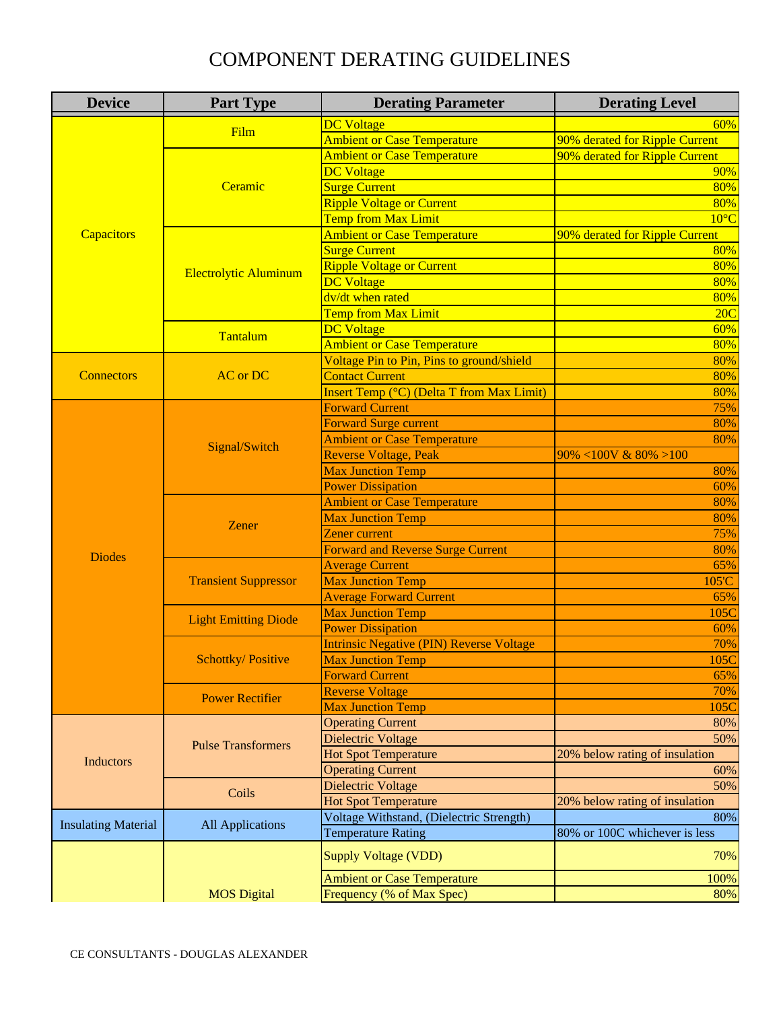| <b>Device</b>              | <b>Part Type</b>             | <b>Derating Parameter</b>                        | <b>Derating Level</b>          |
|----------------------------|------------------------------|--------------------------------------------------|--------------------------------|
|                            |                              | <b>DC</b> Voltage                                | 60%                            |
|                            | Film                         | <b>Ambient or Case Temperature</b>               | 90% derated for Ripple Current |
|                            |                              | <b>Ambient or Case Temperature</b>               | 90% derated for Ripple Current |
|                            |                              | <b>DC</b> Voltage                                | 90%                            |
|                            | Ceramic                      | <b>Surge Current</b>                             | 80%                            |
|                            |                              | <b>Ripple Voltage or Current</b>                 | 80%                            |
|                            |                              | <b>Temp from Max Limit</b>                       | $10^{\circ}$ C                 |
| Capacitors                 | <b>Electrolytic Aluminum</b> | <b>Ambient or Case Temperature</b>               | 90% derated for Ripple Current |
|                            |                              | <b>Surge Current</b>                             | 80%                            |
|                            |                              | <b>Ripple Voltage or Current</b>                 | 80%                            |
|                            |                              | <b>DC</b> Voltage                                | 80%                            |
|                            |                              | dv/dt when rated                                 | 80%                            |
|                            |                              | <b>Temp from Max Limit</b>                       | 20C                            |
|                            |                              | <b>DC</b> Voltage                                | 60%                            |
|                            | Tantalum                     | <b>Ambient or Case Temperature</b>               | 80%                            |
|                            |                              | Voltage Pin to Pin, Pins to ground/shield        | 80%                            |
| <b>Connectors</b>          | <b>AC</b> or DC              | <b>Contact Current</b>                           | 80%                            |
|                            |                              | <b>Insert Temp (°C) (Delta T from Max Limit)</b> | 80%                            |
|                            |                              | <b>Forward Current</b>                           | 75%                            |
|                            |                              | <b>Forward Surge current</b>                     | 80%                            |
|                            |                              | <b>Ambient or Case Temperature</b>               | 80%                            |
|                            | Signal/Switch                | <b>Reverse Voltage, Peak</b>                     | $90\% < 100V$ & $80\% > 100$   |
|                            |                              | <b>Max Junction Temp</b>                         | 80%                            |
|                            |                              | <b>Power Dissipation</b>                         | 60%                            |
|                            |                              | <b>Ambient or Case Temperature</b>               | 80%                            |
|                            | Zener                        | <b>Max Junction Temp</b>                         | 80%                            |
|                            |                              | Zener current                                    | 75%                            |
| <b>Diodes</b>              |                              | <b>Forward and Reverse Surge Current</b>         | 80%                            |
|                            |                              | <b>Average Current</b>                           | 65%                            |
|                            | <b>Transient Suppressor</b>  | <b>Max Junction Temp</b>                         | 105'C                          |
|                            |                              | <b>Average Forward Current</b>                   | 65%                            |
|                            | <b>Light Emitting Diode</b>  | <b>Max Junction Temp</b>                         | 105C                           |
|                            |                              | <b>Power Dissipation</b>                         | 60%                            |
|                            | <b>Schottky/Positive</b>     | <b>Intrinsic Negative (PIN) Reverse Voltage</b>  | 70%                            |
|                            |                              | <b>Max Junction Temp</b>                         | 105C                           |
|                            |                              | <b>Forward Current</b>                           | 65%                            |
|                            | <b>Power Rectifier</b>       | <b>Reverse Voltage</b>                           | 70%                            |
|                            |                              | <b>Max Junction Temp</b>                         | 105C                           |
|                            |                              | <b>Operating Current</b>                         | 80%                            |
| <b>Inductors</b>           | <b>Pulse Transformers</b>    | Dielectric Voltage                               | 50%                            |
|                            |                              | <b>Hot Spot Temperature</b>                      | 20% below rating of insulation |
|                            |                              | <b>Operating Current</b>                         | 60%                            |
|                            | Coils                        | Dielectric Voltage                               | 50%                            |
|                            |                              | <b>Hot Spot Temperature</b>                      | 20% below rating of insulation |
| <b>Insulating Material</b> | <b>All Applications</b>      | Voltage Withstand, (Dielectric Strength)         | 80%                            |
|                            |                              | <b>Temperature Rating</b>                        | 80% or 100C whichever is less  |
|                            |                              | <b>Supply Voltage (VDD)</b>                      | 70%                            |
|                            |                              | <b>Ambient or Case Temperature</b>               | 100%                           |
|                            | <b>MOS Digital</b>           | Frequency (% of Max Spec)                        | 80%                            |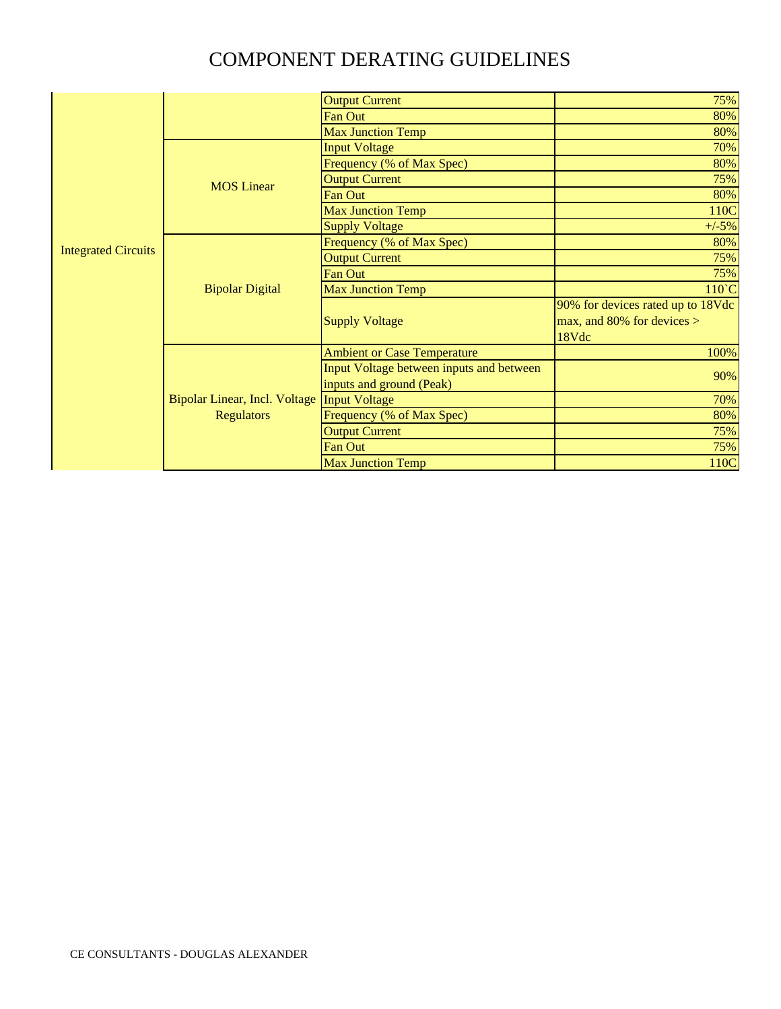|                            |                                                           | <b>Output Current</b>                    | 75%                               |
|----------------------------|-----------------------------------------------------------|------------------------------------------|-----------------------------------|
|                            |                                                           | Fan Out                                  | 80%                               |
|                            |                                                           | <b>Max Junction Temp</b>                 | 80%                               |
|                            | <b>MOS Linear</b>                                         | <b>Input Voltage</b>                     | 70%                               |
|                            |                                                           | Frequency (% of Max Spec)                | 80%                               |
|                            |                                                           | <b>Output Current</b>                    | 75%                               |
|                            |                                                           | <b>Fan Out</b>                           | 80%                               |
|                            |                                                           | <b>Max Junction Temp</b>                 | 110C                              |
|                            |                                                           | <b>Supply Voltage</b>                    | $+/-5%$                           |
| <b>Integrated Circuits</b> |                                                           | Frequency (% of Max Spec)                | 80%                               |
|                            | <b>Bipolar Digital</b>                                    | <b>Output Current</b>                    | 75%                               |
|                            |                                                           | Fan Out                                  | 75%                               |
|                            |                                                           | <b>Max Junction Temp</b>                 | 110°C                             |
|                            |                                                           | <b>Supply Voltage</b>                    | 90% for devices rated up to 18Vdc |
|                            |                                                           |                                          | max, and 80% for devices $>$      |
|                            |                                                           |                                          | 18Vdc                             |
|                            | <b>Bipolar Linear, Incl. Voltage</b><br><b>Regulators</b> | <b>Ambient or Case Temperature</b>       | 100%                              |
|                            |                                                           | Input Voltage between inputs and between | 90%                               |
|                            |                                                           | inputs and ground (Peak)                 |                                   |
|                            |                                                           | <b>Input Voltage</b>                     | 70%                               |
|                            |                                                           | Frequency (% of Max Spec)                | 80%                               |
|                            |                                                           | <b>Output Current</b>                    | 75%                               |
|                            |                                                           | <b>Fan Out</b>                           | 75%                               |
|                            |                                                           | <b>Max Junction Temp</b>                 | 110C                              |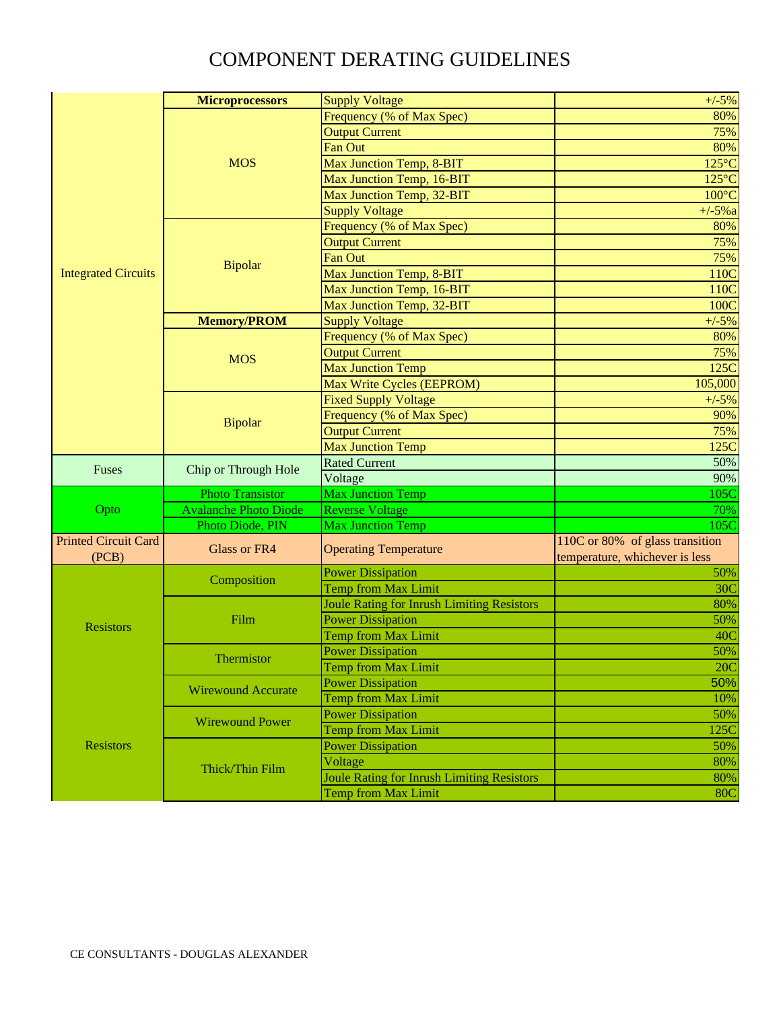|                             | <b>Microprocessors</b>       | <b>Supply Voltage</b>                             | $+/-5%$                         |
|-----------------------------|------------------------------|---------------------------------------------------|---------------------------------|
|                             |                              | Frequency (% of Max Spec)                         | 80%                             |
|                             |                              | <b>Output Current</b>                             | 75%                             |
|                             |                              | <b>Fan Out</b>                                    | 80%                             |
|                             | <b>MOS</b>                   | Max Junction Temp, 8-BIT                          | $125^{\circ}$ C                 |
|                             |                              | Max Junction Temp, 16-BIT                         | $125^{\circ}$ C                 |
|                             |                              | Max Junction Temp, 32-BIT                         | $100^{\circ}$ C                 |
|                             |                              | <b>Supply Voltage</b>                             | $+/-5%a$                        |
|                             | <b>Bipolar</b>               | Frequency (% of Max Spec)                         | 80%                             |
|                             |                              | <b>Output Current</b>                             | 75%                             |
|                             |                              | <b>Fan Out</b>                                    | 75%                             |
| <b>Integrated Circuits</b>  |                              | Max Junction Temp, 8-BIT                          | 110C                            |
|                             |                              | Max Junction Temp, 16-BIT                         | 110C                            |
|                             |                              | Max Junction Temp, 32-BIT                         | 100C                            |
|                             | <b>Memory/PROM</b>           | <b>Supply Voltage</b>                             | $+/-5%$                         |
|                             |                              | Frequency (% of Max Spec)                         | 80%                             |
|                             |                              | <b>Output Current</b>                             | 75%                             |
|                             | <b>MOS</b>                   | <b>Max Junction Temp</b>                          | 125C                            |
|                             |                              | Max Write Cycles (EEPROM)                         | 105,000                         |
|                             |                              | <b>Fixed Supply Voltage</b>                       | $+/-5%$                         |
|                             |                              | Frequency (% of Max Spec)                         | 90%                             |
|                             | <b>Bipolar</b>               | <b>Output Current</b>                             | 75%                             |
|                             |                              | <b>Max Junction Temp</b>                          | 125C                            |
|                             |                              | <b>Rated Current</b>                              | 50%                             |
| Fuses                       | Chip or Through Hole         | Voltage                                           | 90%                             |
|                             | <b>Photo Transistor</b>      | <b>Max Junction Temp</b>                          | 105C                            |
| Opto                        | <b>Avalanche Photo Diode</b> | <b>Reverse Voltage</b>                            | 70%                             |
|                             | Photo Diode, PIN             | Max Junction Temp                                 | 105C                            |
| <b>Printed Circuit Card</b> |                              |                                                   | 110C or 80% of glass transition |
| (PCB)                       | <b>Glass or FR4</b>          | <b>Operating Temperature</b>                      | temperature, whichever is less  |
|                             | Composition                  | <b>Power Dissipation</b>                          | 50%                             |
|                             |                              | <b>Temp from Max Limit</b>                        | 30<                             |
|                             | Film                         | <b>Joule Rating for Inrush Limiting Resistors</b> | 80%                             |
|                             |                              | <b>Power Dissipation</b>                          | 50%                             |
| <b>Resistors</b>            |                              | <b>Temp from Max Limit</b>                        | 40 <sup>C</sup>                 |
|                             | <b>Thermistor</b>            | <b>Power Dissipation</b>                          | 50%                             |
|                             |                              | <b>Temp from Max Limit</b>                        | 20C                             |
|                             |                              | <b>Power Dissipation</b>                          | 50%                             |
| <b>Resistors</b>            | <b>Wirewound Accurate</b>    | <b>Temp from Max Limit</b>                        | 10%                             |
|                             | <b>Wirewound Power</b>       | <b>Power Dissipation</b>                          | 50%                             |
|                             |                              | <b>Temp from Max Limit</b>                        | 125C                            |
|                             | Thick/Thin Film              | <b>Power Dissipation</b>                          | 50%                             |
|                             |                              | Voltage                                           | 80%                             |
|                             |                              | <b>Joule Rating for Inrush Limiting Resistors</b> | 80%                             |
|                             |                              | <b>Temp from Max Limit</b>                        | <b>80C</b>                      |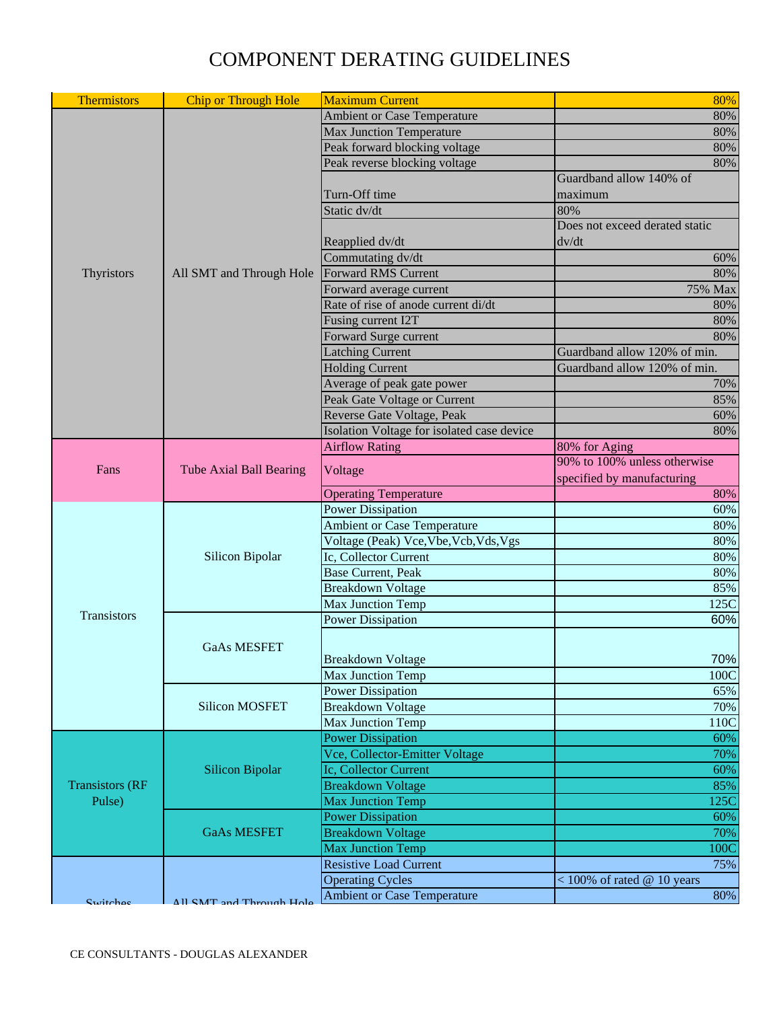| <b>Thermistors</b>               | <b>Chip or Through Hole</b>    | <b>Maximum Current</b>                     | 80%                            |
|----------------------------------|--------------------------------|--------------------------------------------|--------------------------------|
|                                  |                                | Ambient or Case Temperature                | 80%                            |
|                                  |                                | <b>Max Junction Temperature</b>            | 80%                            |
|                                  |                                | Peak forward blocking voltage              | 80%                            |
|                                  |                                | Peak reverse blocking voltage              | 80%                            |
|                                  |                                |                                            | Guardband allow 140% of        |
|                                  |                                | Turn-Off time                              | maximum                        |
|                                  |                                | Static dv/dt                               | 80%                            |
|                                  |                                |                                            | Does not exceed derated static |
|                                  |                                | Reapplied dv/dt<br>dv/dt                   |                                |
|                                  |                                | Commutating dv/dt                          | 60%                            |
| Thyristors                       | All SMT and Through Hole       | <b>Forward RMS Current</b>                 | 80%                            |
|                                  |                                | Forward average current                    | 75% Max                        |
|                                  |                                | Rate of rise of anode current di/dt        | 80%                            |
|                                  |                                | <b>Fusing current I2T</b>                  | 80%                            |
|                                  |                                | Forward Surge current                      | 80%                            |
|                                  |                                | <b>Latching Current</b>                    | Guardband allow 120% of min.   |
|                                  |                                | <b>Holding Current</b>                     | Guardband allow 120% of min.   |
|                                  |                                | Average of peak gate power                 | 70%                            |
|                                  |                                | Peak Gate Voltage or Current               | 85%                            |
|                                  |                                | Reverse Gate Voltage, Peak                 | 60%                            |
|                                  |                                | Isolation Voltage for isolated case device | 80%                            |
|                                  |                                | <b>Airflow Rating</b>                      | 80% for Aging                  |
| Fans                             | <b>Tube Axial Ball Bearing</b> | Voltage                                    | 90% to 100% unless otherwise   |
|                                  |                                |                                            | specified by manufacturing     |
|                                  |                                | <b>Operating Temperature</b>               | 80%                            |
|                                  |                                | <b>Power Dissipation</b>                   | 60%                            |
|                                  | Silicon Bipolar                | Ambient or Case Temperature                | 80%                            |
|                                  |                                | Voltage (Peak) Vce, Vbe, Vcb, Vds, Vgs     | 80%                            |
|                                  |                                | Ic, Collector Current                      | 80%                            |
|                                  |                                | <b>Base Current, Peak</b>                  | 80%                            |
|                                  |                                | <b>Breakdown Voltage</b>                   | 85%                            |
|                                  |                                | <b>Max Junction Temp</b>                   | 125C                           |
| Transistors                      | <b>GaAs MESFET</b>             | <b>Power Dissipation</b>                   | 60%                            |
|                                  |                                |                                            |                                |
|                                  |                                | Breakdown Voltage                          | 70%                            |
|                                  |                                | <b>Max Junction Temp</b>                   | 100C                           |
|                                  | <b>Silicon MOSFET</b>          | <b>Power Dissipation</b>                   | 65%                            |
|                                  |                                | <b>Breakdown Voltage</b>                   | 70%                            |
|                                  |                                | Max Junction Temp                          | 110C                           |
|                                  | <b>Silicon Bipolar</b>         | <b>Power Dissipation</b>                   | 60%                            |
|                                  |                                | Vce, Collector-Emitter Voltage             | 70%                            |
| <b>Transistors (RF</b><br>Pulse) |                                | Ic, Collector Current                      | 60%                            |
|                                  |                                | <b>Breakdown Voltage</b>                   | 85%                            |
|                                  |                                | <b>Max Junction Temp</b>                   | 125C                           |
|                                  | <b>GaAs MESFET</b>             | <b>Power Dissipation</b>                   | 60%                            |
|                                  |                                | <b>Breakdown Voltage</b>                   | 70%                            |
|                                  |                                | <b>Max Junction Temp</b>                   | 100C                           |
|                                  |                                | <b>Resistive Load Current</b>              | 75%                            |
|                                  |                                | <b>Operating Cycles</b>                    | $<$ 100% of rated @ 10 years   |
|                                  |                                | <b>Ambient or Case Temperature</b>         | 80%                            |
| Curitches                        | All SMT and Through Hole       |                                            |                                |